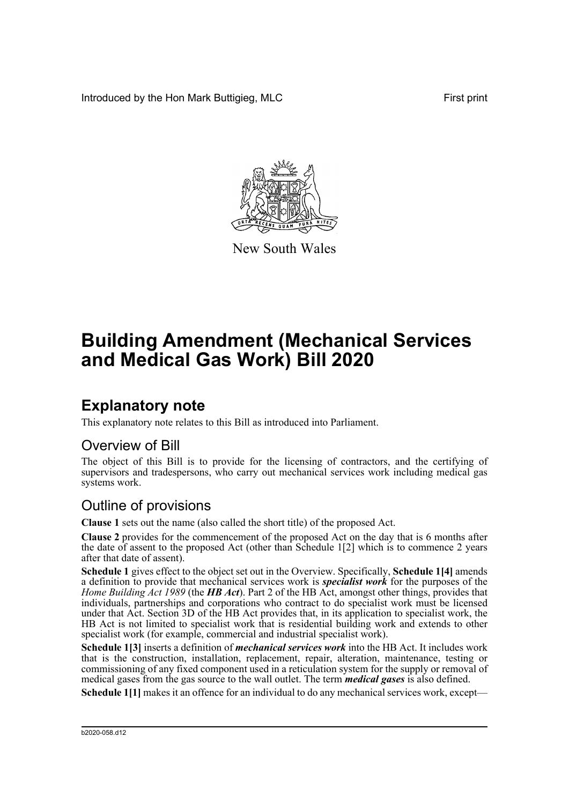Introduced by the Hon Mark Buttigieg, MLC First print



New South Wales

# **Building Amendment (Mechanical Services and Medical Gas Work) Bill 2020**

## **Explanatory note**

This explanatory note relates to this Bill as introduced into Parliament.

### Overview of Bill

The object of this Bill is to provide for the licensing of contractors, and the certifying of supervisors and tradespersons, who carry out mechanical services work including medical gas systems work.

## Outline of provisions

**Clause 1** sets out the name (also called the short title) of the proposed Act.

**Clause 2** provides for the commencement of the proposed Act on the day that is 6 months after the date of assent to the proposed Act (other than Schedule 1[2] which is to commence 2 years after that date of assent).

**Schedule 1** gives effect to the object set out in the Overview. Specifically, **Schedule 1[4]** amends a definition to provide that mechanical services work is *specialist work* for the purposes of the *Home Building Act 1989* (the *HB Act*). Part 2 of the HB Act, amongst other things, provides that individuals, partnerships and corporations who contract to do specialist work must be licensed under that Act. Section 3D of the HB Act provides that, in its application to specialist work, the HB Act is not limited to specialist work that is residential building work and extends to other specialist work (for example, commercial and industrial specialist work).

**Schedule 1[3]** inserts a definition of *mechanical services work* into the HB Act. It includes work that is the construction, installation, replacement, repair, alteration, maintenance, testing or commissioning of any fixed component used in a reticulation system for the supply or removal of medical gases from the gas source to the wall outlet. The term *medical gases* is also defined.

**Schedule 1[1]** makes it an offence for an individual to do any mechanical services work, except—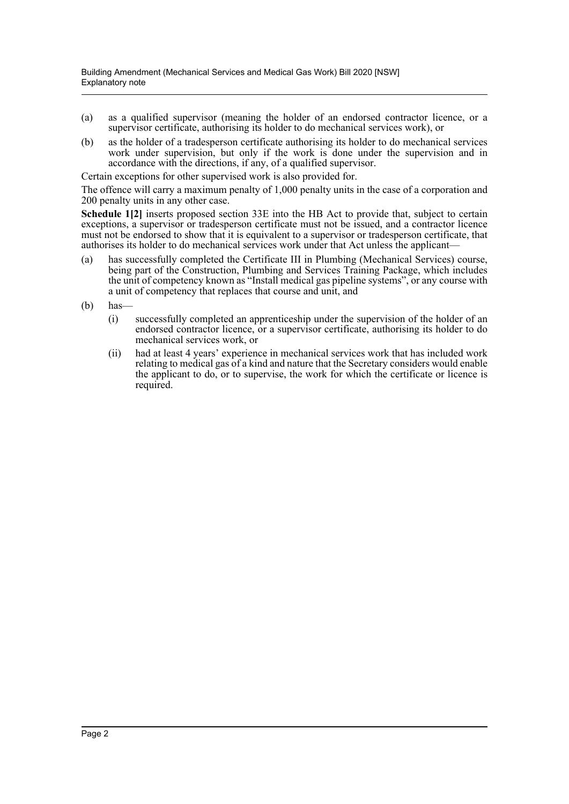- (a) as a qualified supervisor (meaning the holder of an endorsed contractor licence, or a supervisor certificate, authorising its holder to do mechanical services work), or
- (b) as the holder of a tradesperson certificate authorising its holder to do mechanical services work under supervision, but only if the work is done under the supervision and in accordance with the directions, if any, of a qualified supervisor.

Certain exceptions for other supervised work is also provided for.

The offence will carry a maximum penalty of 1,000 penalty units in the case of a corporation and 200 penalty units in any other case.

**Schedule 1[2]** inserts proposed section 33E into the HB Act to provide that, subject to certain exceptions, a supervisor or tradesperson certificate must not be issued, and a contractor licence must not be endorsed to show that it is equivalent to a supervisor or tradesperson certificate, that authorises its holder to do mechanical services work under that Act unless the applicant—

- (a) has successfully completed the Certificate III in Plumbing (Mechanical Services) course, being part of the Construction, Plumbing and Services Training Package, which includes the unit of competency known as "Install medical gas pipeline systems", or any course with a unit of competency that replaces that course and unit, and
- (b) has—
	- (i) successfully completed an apprenticeship under the supervision of the holder of an endorsed contractor licence, or a supervisor certificate, authorising its holder to do mechanical services work, or
	- (ii) had at least 4 years' experience in mechanical services work that has included work relating to medical gas of a kind and nature that the Secretary considers would enable the applicant to do, or to supervise, the work for which the certificate or licence is required.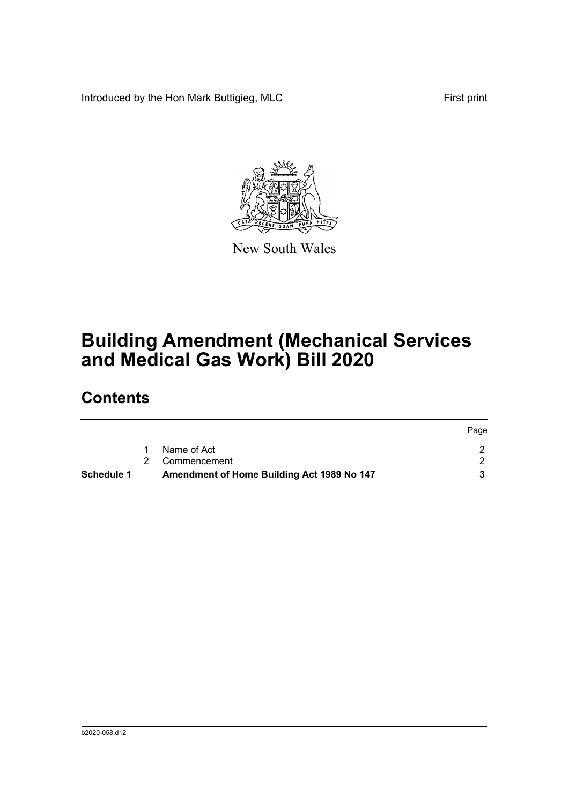Introduced by the Hon Mark Buttigieg, MLC First print



New South Wales

# **Building Amendment (Mechanical Services and Medical Gas Work) Bill 2020**

## **Contents**

| <b>Schedule 1</b> | Amendment of Home Building Act 1989 No 147 |      |
|-------------------|--------------------------------------------|------|
|                   | 2 Commencement                             |      |
|                   | Name of Act                                |      |
|                   |                                            | Page |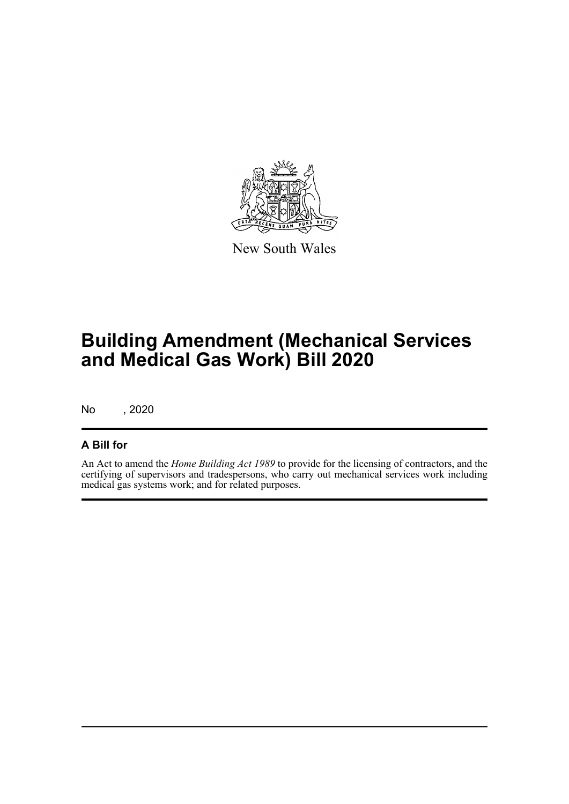

New South Wales

# **Building Amendment (Mechanical Services and Medical Gas Work) Bill 2020**

No , 2020

### **A Bill for**

An Act to amend the *Home Building Act 1989* to provide for the licensing of contractors, and the certifying of supervisors and tradespersons, who carry out mechanical services work including medical gas systems work; and for related purposes.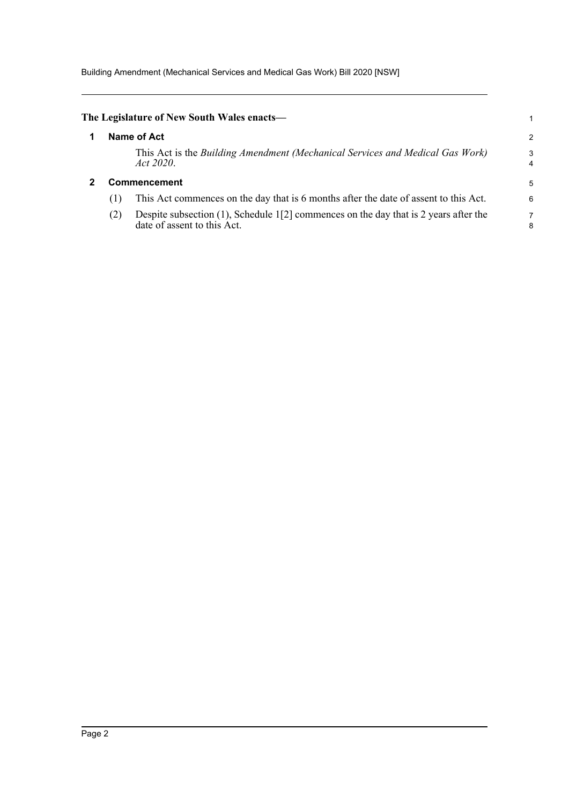Building Amendment (Mechanical Services and Medical Gas Work) Bill 2020 [NSW]

<span id="page-4-1"></span><span id="page-4-0"></span>

| The Legislature of New South Wales enacts— |     |                                                                                                                        |        |
|--------------------------------------------|-----|------------------------------------------------------------------------------------------------------------------------|--------|
|                                            |     | Name of Act                                                                                                            | 2      |
|                                            |     | This Act is the Building Amendment (Mechanical Services and Medical Gas Work)<br>Act 2020.                             | 3<br>4 |
|                                            |     | <b>Commencement</b>                                                                                                    | 5      |
|                                            | (1) | This Act commences on the day that is 6 months after the date of assent to this Act.                                   | 6      |
|                                            | (2) | Despite subsection $(1)$ , Schedule 1[2] commences on the day that is 2 years after the<br>date of assent to this Act. | 8      |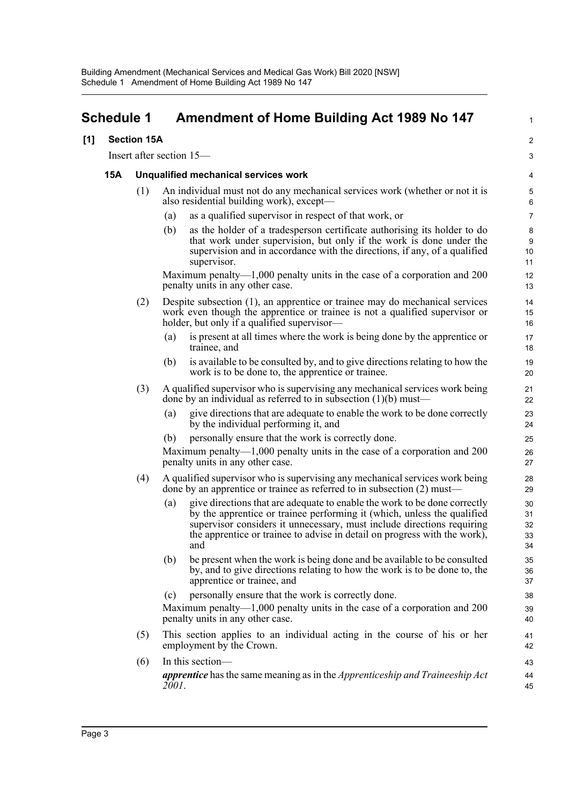## <span id="page-5-0"></span>**Schedule 1 Amendment of Home Building Act 1989 No 147**

### **[1] Section 15A**

Insert after section 15—

### **15A Unqualified mechanical services work**

- (1) An individual must not do any mechanical services work (whether or not it is also residential building work), except—
	- (a) as a qualified supervisor in respect of that work, or
	- (b) as the holder of a tradesperson certificate authorising its holder to do that work under supervision, but only if the work is done under the supervision and in accordance with the directions, if any, of a qualified supervisor.

1

Maximum penalty—1,000 penalty units in the case of a corporation and 200 penalty units in any other case.

- (2) Despite subsection (1), an apprentice or trainee may do mechanical services work even though the apprentice or trainee is not a qualified supervisor or holder, but only if a qualified supervisor-
	- (a) is present at all times where the work is being done by the apprentice or trainee, and
	- (b) is available to be consulted by, and to give directions relating to how the work is to be done to, the apprentice or trainee.
- (3) A qualified supervisor who is supervising any mechanical services work being done by an individual as referred to in subsection (1)(b) must—
	- (a) give directions that are adequate to enable the work to be done correctly by the individual performing it, and
	- (b) personally ensure that the work is correctly done.

Maximum penalty—1,000 penalty units in the case of a corporation and 200 penalty units in any other case.

- (4) A qualified supervisor who is supervising any mechanical services work being done by an apprentice or trainee as referred to in subsection (2) must—
	- (a) give directions that are adequate to enable the work to be done correctly by the apprentice or trainee performing it (which, unless the qualified supervisor considers it unnecessary, must include directions requiring the apprentice or trainee to advise in detail on progress with the work), and
	- (b) be present when the work is being done and be available to be consulted by, and to give directions relating to how the work is to be done to, the apprentice or trainee, and
	- (c) personally ensure that the work is correctly done.

Maximum penalty—1,000 penalty units in the case of a corporation and 200 penalty units in any other case.

- (5) This section applies to an individual acting in the course of his or her employment by the Crown.
- (6) In this section *apprentice* has the same meaning as in the *Apprenticeship and Traineeship Act 2001*. 43 44 45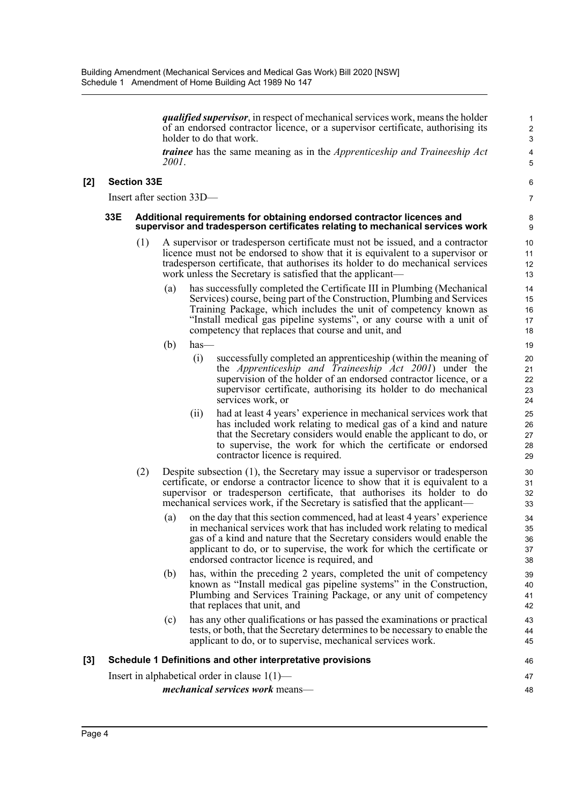*qualified supervisor*, in respect of mechanical services work, means the holder of an endorsed contractor licence, or a supervisor certificate, authorising its holder to do that work.

*trainee* has the same meaning as in the *Apprenticeship and Traineeship Act 2001*.

### **[2] Section 33E**

Insert after section 33D—

#### **33E Additional requirements for obtaining endorsed contractor licences and supervisor and tradesperson certificates relating to mechanical services work**

- (1) A supervisor or tradesperson certificate must not be issued, and a contractor licence must not be endorsed to show that it is equivalent to a supervisor or tradesperson certificate, that authorises its holder to do mechanical services work unless the Secretary is satisfied that the applicant—
	- (a) has successfully completed the Certificate III in Plumbing (Mechanical Services) course, being part of the Construction, Plumbing and Services Training Package, which includes the unit of competency known as "Install medical gas pipeline systems", or any course with a unit of competency that replaces that course and unit, and
	- (b) has—
		- (i) successfully completed an apprenticeship (within the meaning of the *Apprenticeship and Traineeship Act 2001*) under the supervision of the holder of an endorsed contractor licence, or a supervisor certificate, authorising its holder to do mechanical services work, or
		- (ii) had at least 4 years' experience in mechanical services work that has included work relating to medical gas of a kind and nature that the Secretary considers would enable the applicant to do, or to supervise, the work for which the certificate or endorsed contractor licence is required.
- (2) Despite subsection (1), the Secretary may issue a supervisor or tradesperson certificate, or endorse a contractor licence to show that it is equivalent to a supervisor or tradesperson certificate, that authorises its holder to do mechanical services work, if the Secretary is satisfied that the applicant—
	- (a) on the day that this section commenced, had at least 4 years' experience in mechanical services work that has included work relating to medical gas of a kind and nature that the Secretary considers would enable the applicant to do, or to supervise, the work for which the certificate or endorsed contractor licence is required, and
	- (b) has, within the preceding 2 years, completed the unit of competency known as "Install medical gas pipeline systems" in the Construction, Plumbing and Services Training Package, or any unit of competency that replaces that unit, and
	- (c) has any other qualifications or has passed the examinations or practical tests, or both, that the Secretary determines to be necessary to enable the applicant to do, or to supervise, mechanical services work.

| [3] Schedule 1 Definitions and other interpretative provisions | 46 |
|----------------------------------------------------------------|----|
| Insert in alphabetical order in clause $1(1)$ —                | 47 |
| <i>mechanical services work</i> means—                         | 48 |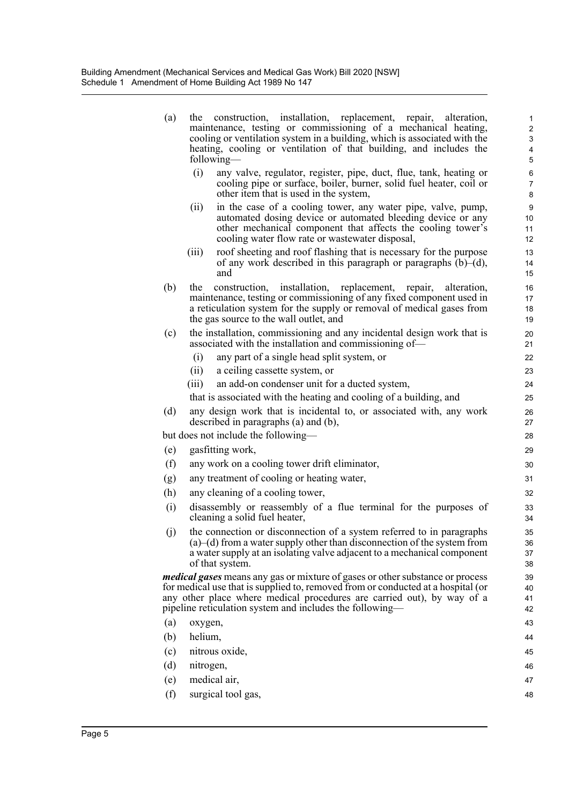| (a) | construction, installation, replacement, repair, alteration,<br>the<br>maintenance, testing or commissioning of a mechanical heating,<br>cooling or ventilation system in a building, which is associated with the<br>heating, cooling or ventilation of that building, and includes the<br>following— | $\mathbf{1}$<br>$\boldsymbol{2}$<br>3<br>4<br>$\mathbf 5$ |
|-----|--------------------------------------------------------------------------------------------------------------------------------------------------------------------------------------------------------------------------------------------------------------------------------------------------------|-----------------------------------------------------------|
|     | (i)<br>any valve, regulator, register, pipe, duct, flue, tank, heating or<br>cooling pipe or surface, boiler, burner, solid fuel heater, coil or<br>other item that is used in the system,                                                                                                             | $\,6\,$<br>$\overline{7}$<br>8                            |
|     | in the case of a cooling tower, any water pipe, valve, pump,<br>(ii)<br>automated dosing device or automated bleeding device or any<br>other mechanical component that affects the cooling tower's<br>cooling water flow rate or wastewater disposal,                                                  | $\boldsymbol{9}$<br>10<br>11<br>12                        |
|     | roof sheeting and roof flashing that is necessary for the purpose<br>(iii)<br>of any work described in this paragraph or paragraphs $(b)$ – $(d)$ ,<br>and                                                                                                                                             | 13<br>14<br>15                                            |
| (b) | construction, installation, replacement, repair,<br>alteration,<br>the<br>maintenance, testing or commissioning of any fixed component used in<br>a reticulation system for the supply or removal of medical gases from<br>the gas source to the wall outlet, and                                      | 16<br>17<br>18<br>19                                      |
| (c) | the installation, commissioning and any incidental design work that is<br>associated with the installation and commissioning of—                                                                                                                                                                       | 20<br>21                                                  |
|     | (i)<br>any part of a single head split system, or                                                                                                                                                                                                                                                      | 22                                                        |
|     | (ii)<br>a ceiling cassette system, or                                                                                                                                                                                                                                                                  | 23                                                        |
|     | an add-on condenser unit for a ducted system,<br>(iii)                                                                                                                                                                                                                                                 | 24                                                        |
|     | that is associated with the heating and cooling of a building, and                                                                                                                                                                                                                                     | 25                                                        |
| (d) | any design work that is incidental to, or associated with, any work<br>described in paragraphs (a) and (b),                                                                                                                                                                                            | 26<br>27                                                  |
|     | but does not include the following—                                                                                                                                                                                                                                                                    | 28                                                        |
| (e) | gasfitting work,                                                                                                                                                                                                                                                                                       | 29                                                        |
| (f) | any work on a cooling tower drift eliminator,                                                                                                                                                                                                                                                          | 30                                                        |
| (g) | any treatment of cooling or heating water,                                                                                                                                                                                                                                                             | 31                                                        |
| (h) | any cleaning of a cooling tower,                                                                                                                                                                                                                                                                       | 32                                                        |
| (i) | disassembly or reassembly of a flue terminal for the purposes of<br>cleaning a solid fuel heater,                                                                                                                                                                                                      | 33<br>34                                                  |
| (j) | the connection or disconnection of a system referred to in paragraphs<br>$(a)$ (d) from a water supply other than disconnection of the system from<br>a water supply at an isolating valve adjacent to a mechanical component<br>of that system.                                                       | 35<br>36<br>37<br>38                                      |
|     | <i>medical gases</i> means any gas or mixture of gases or other substance or process                                                                                                                                                                                                                   | 39                                                        |
|     | for medical use that is supplied to, removed from or conducted at a hospital (or<br>any other place where medical procedures are carried out), by way of a                                                                                                                                             | 40<br>41                                                  |
|     | pipeline reticulation system and includes the following—                                                                                                                                                                                                                                               | 42                                                        |
| (a) | oxygen,                                                                                                                                                                                                                                                                                                | 43                                                        |
| (b) | helium,                                                                                                                                                                                                                                                                                                | 44                                                        |
| (c) | nitrous oxide,                                                                                                                                                                                                                                                                                         | 45                                                        |
| (d) | nitrogen,                                                                                                                                                                                                                                                                                              | 46                                                        |
| (e) | medical air,                                                                                                                                                                                                                                                                                           | 47                                                        |
| (f) | surgical tool gas,                                                                                                                                                                                                                                                                                     | 48                                                        |
|     |                                                                                                                                                                                                                                                                                                        |                                                           |